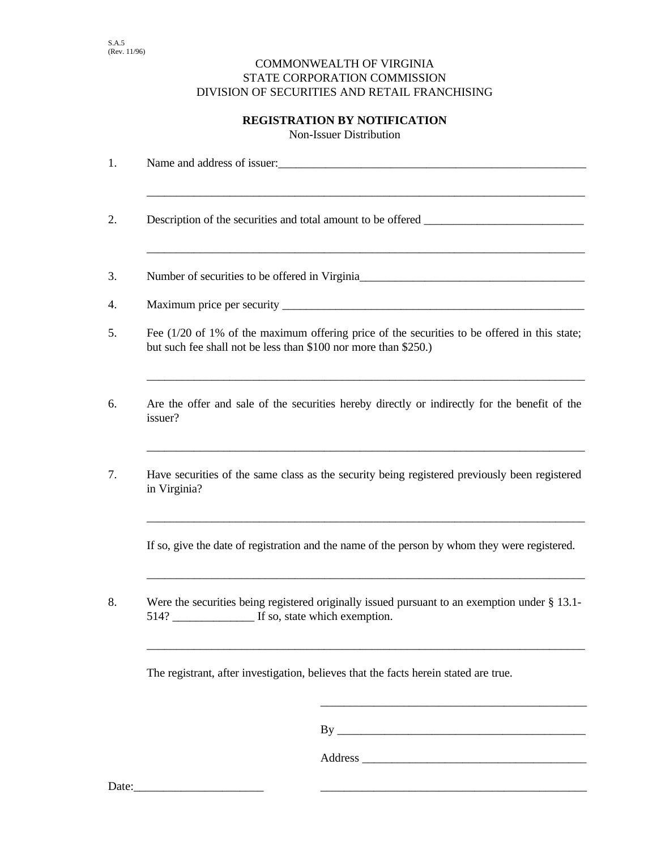## COMMONWEALTH OF VIRGINIA STATE CORPORATION COMMISSION DIVISION OF SECURITIES AND RETAIL FRANCHISING

## **REGISTRATION BY NOTIFICATION**

Non-Issuer Distribution

| 1.    |                                                                                                                                                                    |
|-------|--------------------------------------------------------------------------------------------------------------------------------------------------------------------|
| 2.    | Description of the securities and total amount to be offered ____________________                                                                                  |
| 3.    | Number of securities to be offered in Virginia                                                                                                                     |
| 4.    |                                                                                                                                                                    |
| 5.    | Fee $(1/20)$ of 1% of the maximum offering price of the securities to be offered in this state;<br>but such fee shall not be less than \$100 nor more than \$250.) |
| 6.    | Are the offer and sale of the securities hereby directly or indirectly for the benefit of the<br>issuer?                                                           |
| 7.    | Have securities of the same class as the security being registered previously been registered<br>in Virginia?                                                      |
|       | If so, give the date of registration and the name of the person by whom they were registered.                                                                      |
| 8.    | Were the securities being registered originally issued pursuant to an exemption under $\S$ 13.1-                                                                   |
|       | The registrant, after investigation, believes that the facts herein stated are true.                                                                               |
|       |                                                                                                                                                                    |
|       |                                                                                                                                                                    |
| Date: |                                                                                                                                                                    |